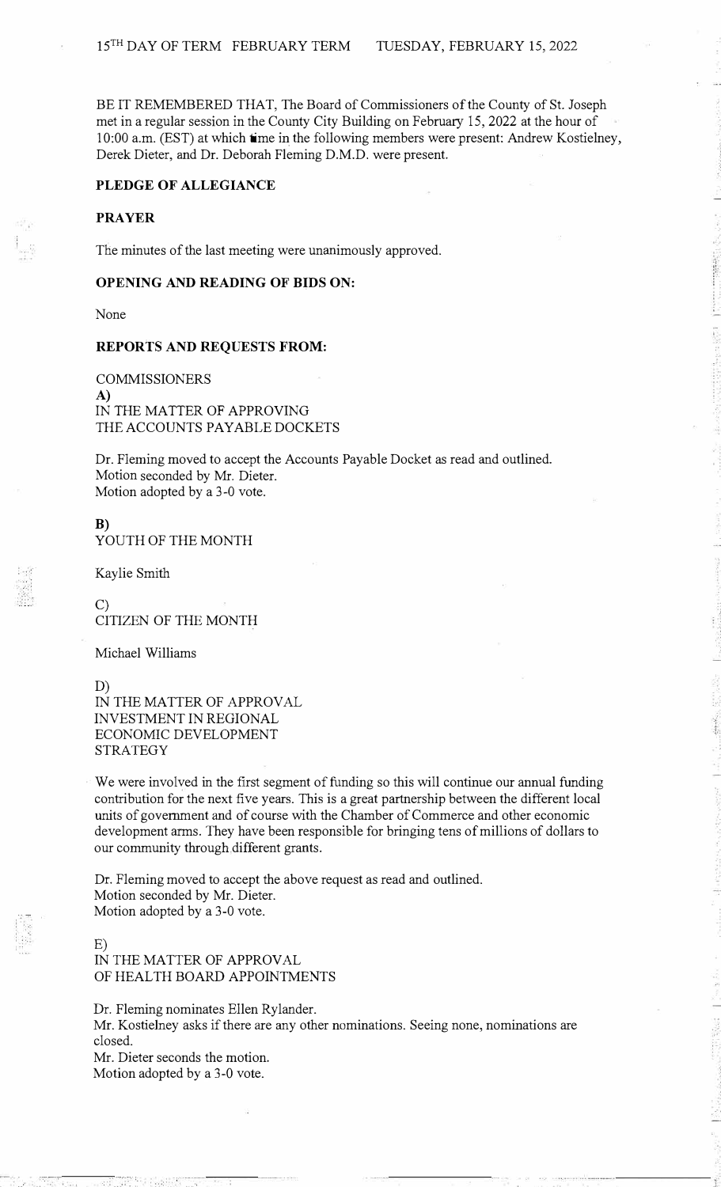BE IT REMEMBERED THAT, The Board of Commissioners of the County of St. Joseph met in a regular session in the County City Building on February 15, 2022 at the hour of 10:00 a.m. (EST) at which time in the following members were present: Andrew Kostielney, Derek Dieter, and Dr. Deborah Fleming D.M.D. were present.

## **PLEDGE OF ALLEGIANCE**

## **PRAYER**

The minutes of the last meeting were unanimously approved.

### **OPENING AND READING OF BIDS ON:**

None

#### **REPORTS AND REQUESTS FROM:**

COMMISSIONERS **A)**  IN THE MATTER OF APPROVING THE ACCOUNTS PAYABLE DOCKETS

Dr. Fleming moved to accept the Accounts Payable Docket as read and outlined. Motion seconded by Mr. Dieter. Motion adopted by a 3-0 vote.

**B)**  YOUTH OF THE MONTH

Kaylie Smith

C) CITIZEN OF THE MONTH

Michael Williams

D)

IN THE MATTER OF APPROVAL INVESTMENT IN REGIONAL ECONOMIC DEVELOPMENT STRATEGY

We were involved in the first segment of funding so this will continue our annual funding contribution for the next five years. This is a great partnership between the different local units of government and of course with the Chamber of Commerce and other economic development arms. They have been responsible for bringing tens of millions of dollars to our community through different grants.

Dr. Fleming moved to accept the above request as read and outlined. Motion seconded by Mr. Dieter. Motion adopted by a 3-0 vote.

# E)

IN THE MATTER OF APPROVAL OF HEALTH BOARD APPOINTMENTS

Dr. Fleming nominates Ellen Rylander. Mr. Kostielney asks if there are any other nominations. Seeing none, nominations are closed. Mr. Dieter seconds the motion.

Motion adopted by a 3-0 vote.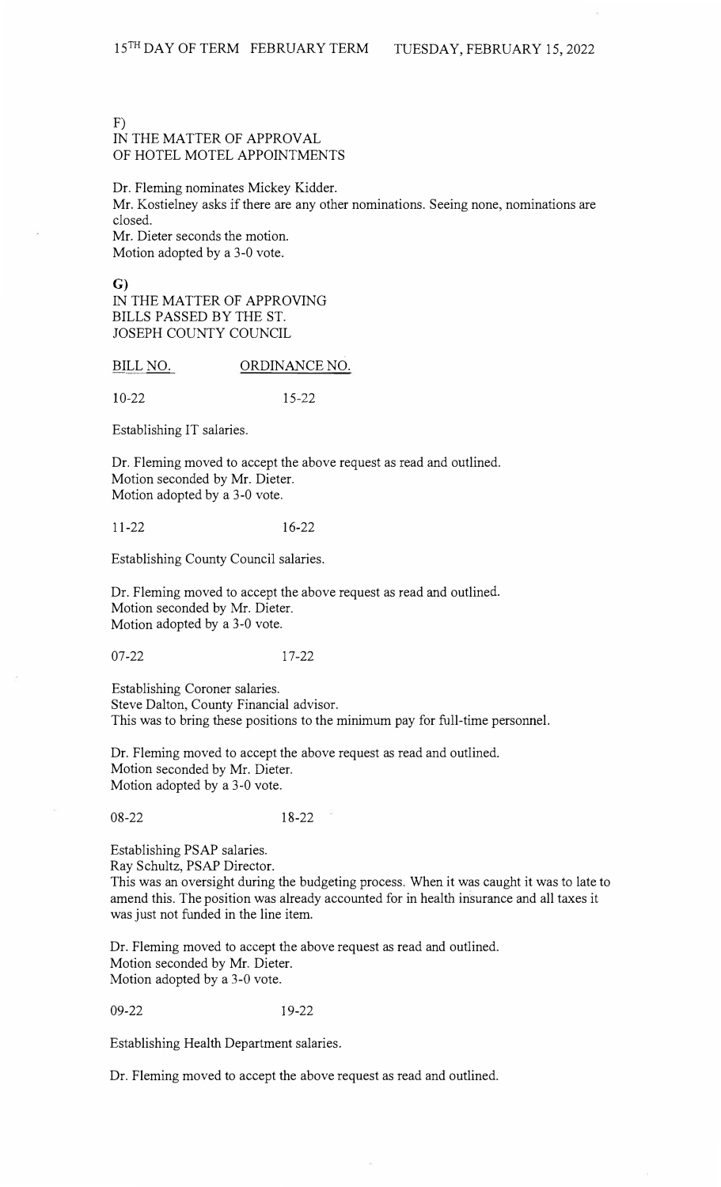#### F)

# IN THE MATTER OF APPROVAL OF HOTEL MOTEL APPOINTMENTS

Dr. Fleming nominates Mickey Kidder.

Mr. Kostielney asks if there are any other nominations. Seeing none, nominations are closed.

Mr. Dieter seconds the motion. Motion adopted by a 3-0 vote.

G)

IN THE MATTER OF APPROVING BILLS PASSED BY THE ST. JOSEPH COUNTY COUNCIL

BILL NO. ORDINANCE NO.

10-22 15-22

Establishing IT salaries.

Dr. Fleming moved to accept the above request as read and outlined. Motion seconded by Mr. Dieter. Motion adopted by a 3-0 vote.

11-22 16-22

Establishing County Council salaries.

Dr. Fleming moved to accept the above request as read and outlined. Motion seconded by Mr. Dieter. Motion adopted by a 3-0 vote.

07-22 17-22

Establishing Coroner salaries. Steve Dalton, County Financial advisor. This was to bring these positions to the minimum pay for full-time personnel.

Dr. Fleming moved to accept the above request as read and outlined. Motion seconded by Mr. Dieter. Motion adopted by a 3-0 vote.

08-22 18-22

Establishing PSAP salaries.

Ray Schultz, PSAP Director.

This was an oversight during the budgeting process. When it was caught it was to late to amend this. The position was already accounted for in health insurance and all taxes it was just not funded in the line item.

Dr. Fleming moved to accept the above request as read and outlined. Motion seconded by Mr. Dieter. Motion adopted by a 3-0 vote.

09-22 19-22

Establishing Health Department salaries.

Dr. Fleming moved to accept the above request as read and outlined.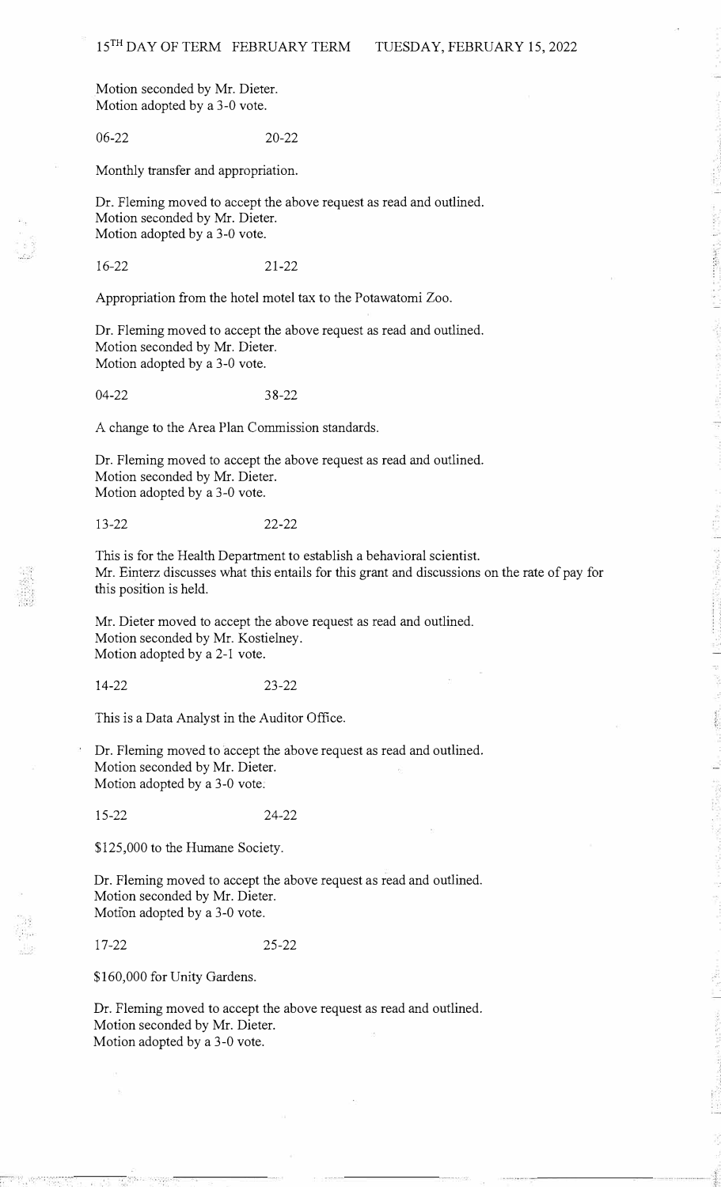Motion seconded by Mr. Dieter. Motion adopted by a 3-0 vote.

06-22 20-22

Monthly transfer and appropriation.

Dr. Fleming moved to accept the above request as read and outlined. Motion seconded by Mr. Dieter. Motion adopted by a 3-0 vote.

16-22 21-22

Appropriation from the hotel motel tax to the Potawatomi Zoo.

Dr. Fleming moved to accept the above request as read and outlined. Motion seconded by Mr. Dieter. Motion adopted by a 3-0 vote.

04-22 38-22

A change to the Area Plan Commission standards.

Dr. Fleming moved to accept the above request as read and outlined. Motion seconded by Mr. Dieter. Motion adopted by a 3-0 vote.

13-22 22-22

This is for the Health Department to establish a behavioral scientist. Mr. Einterz discusses what this entails for this grant and discussions on the rate of pay for this position is held.

Mr. Dieter moved to accept the above request as read and outlined. Motion seconded by Mr. Kostielney. Motion adopted by a 2-1 vote.

14-22 23-22

This is a Data Analyst in the Auditor Office.

Dr. Fleming moved to accept the above request as read and outlined. Motion seconded by Mr. Dieter. Motion adopted by a 3-0 vote.

15-22 24-22

\$125,000 to the Humane Society.

Dr. Fleming moved to accept the above request as read and outlined. Motion seconded by Mr. Dieter. Motion adopted by a 3-0 vote.

17-22 25-22

\$160,000 for Unity Gardens.

Dr. Fleming moved to accept the above request as read and outlined. Motion seconded by Mr. Dieter. Motion adopted by a 3-0 vote.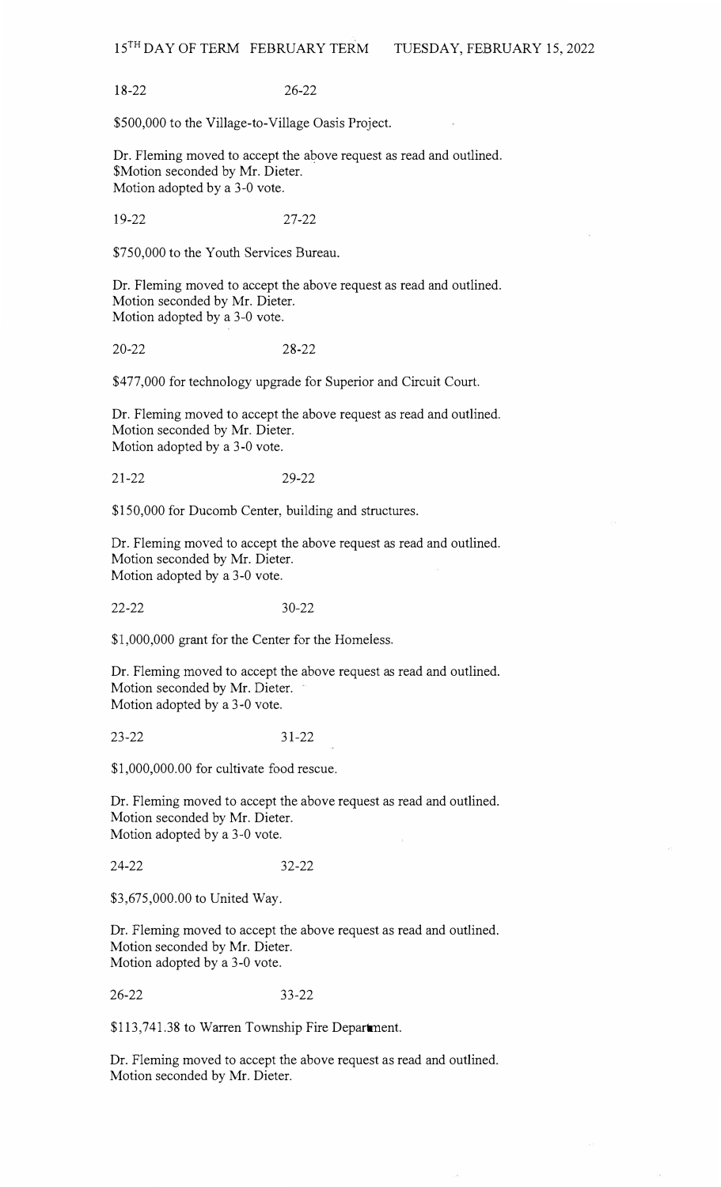18-2226-22

\$500,000 to the Village-to-Village Oasis Project.

Dr. Fleming moved to accept the above request as read and outlined. \$Motion seconded by Mr. Dieter. Motion adopted by a 3-0 vote.

19-22 27-22

\$750,000 to the Youth Services Bureau.

Dr. Fleming moved to accept the above request as read and outlined. Motion seconded by Mr. Dieter. Motion adopted by a 3-0 vote.

20-22 28-22

\$477,000 for technology upgrade for Superior and Circuit Court.

Dr. Fleming moved to accept the above request as read and outlined. Motion seconded by Mr. Dieter. Motion adopted by a 3-0 vote.

21-22 29-22

\$150,000 for Ducomb Center, building and structures.

Dr. Fleming moved to accept the above request as read and outlined. Motion seconded by Mr. Dieter. Motion adopted by a 3-0 vote.

22-2230-22

\$1,000,000 grant for the Center for the Homeless.

Dr. Fleming moved to accept the above request as read and outlined. Motion seconded by Mr. Dieter. Motion adopted by a 3-0 vote.

23-2231-22

\$1,000,000.00 for cultivate food rescue.

Dr. Fleming moved to accept the above request as read and outlined. Motion seconded by Mr. Dieter. Motion adopted by a 3-0 vote.

24-2232-22

\$3,675,000.00 to United Way.

Dr. Fleming moved to accept the above request as read and outlined. Motion seconded by Mr. Dieter. Motion adopted by a 3-0 vote.

26-22 33-22

\$113,741.38 to Warren Township Fire Department.

Dr. Fleming moved to accept the above request as read and outlined. Motion seconded by Mr. Dieter.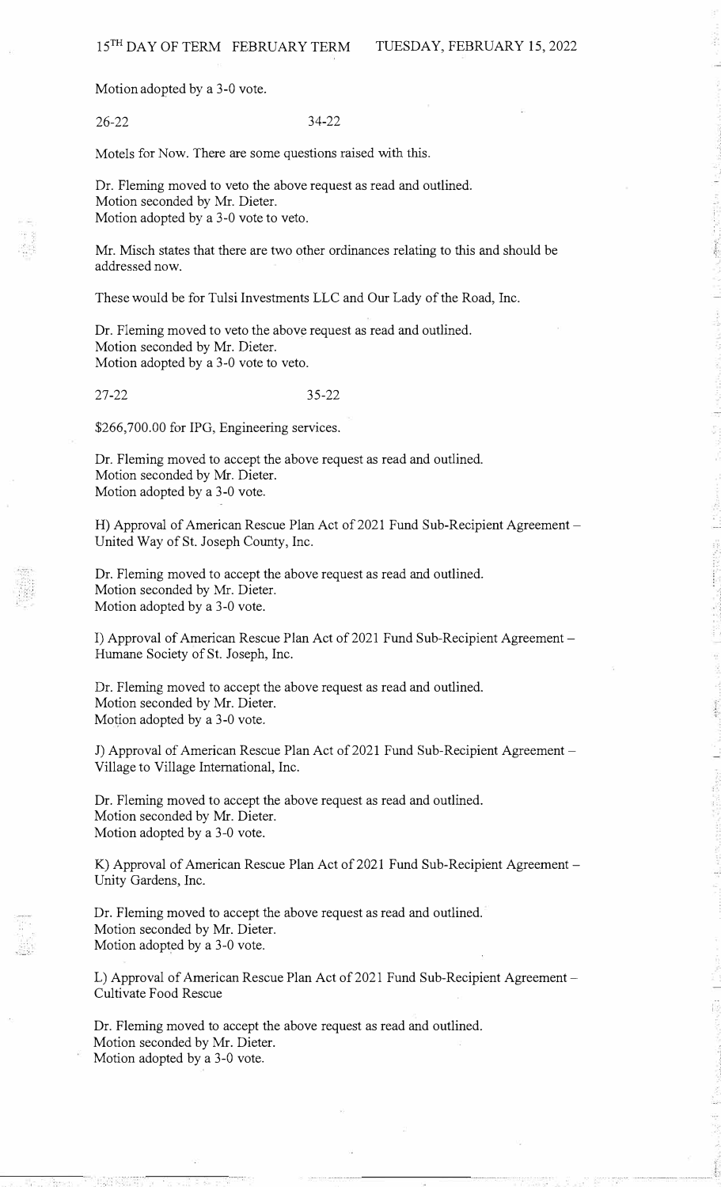Motion adopted by a 3-0 vote.

26-22 34-22

Motels for Now. There are some questions raised with this.

Dr. Fleming moved to veto the above request as read and outlined. Motion seconded by Mr. Dieter. Motion adopted by a 3-0 vote to veto.

Mr. Misch states that there are two other ordinances relating to this and should be addressed now.

These would be for Tulsi Investments LLC and Our Lady of the Road, Inc.

Dr. Fleming moved to veto the above request as read and outlined. Motion seconded by Mr. Dieter. Motion adopted by a 3-0 vote to veto.

27-22 35-22

\$266,700.00 for IPG, Engineering services.

Dr. Fleming moved to accept the above request as read and outlined. Motion seconded by Mr. Dieter. Motion adopted by a 3-0 vote.

H) Approval of American Rescue Plan Act of 2021 Fund Sub-Recipient Agreement – United Way of St. Joseph County, Inc.

Dr. Fleming moved to accept the above request as read and outlined. Motion seconded by Mr. Dieter. Motion adopted by a 3-0 vote.

I) Approval of American Rescue Plan Act of 2021 Fund Sub-Recipient Agreement -Humane Society of St. Joseph, Inc.

Dr. Fleming moved to accept the above request as read and outlined. Motion seconded by Mr. Dieter. Motion adopted by a 3-0 vote.

J) Approval of American Rescue Plan Act of 2021 Fund Sub-Recipient Agreement -Village to Village International, Inc.

Dr. Fleming moved to accept the above request as read and outlined. Motion seconded by Mr. Dieter. Motion adopted by a 3-0 vote.

K) Approval of American Rescue Plan Act of 2021 Fund Sub-Recipient Agreement -Unity Gardens, Inc.

Dr. Fleming moved to accept the above request as read and outlined. Motion seconded by Mr. Dieter. Motion adopted by a 3-0 vote.

L) Approval of American Rescue Plan Act of 2021 Fund Sub-Recipient Agreement -Cultivate Food Rescue

Dr. Fleming moved to accept the above request as read and outlined. Motion seconded by Mr. Dieter. Motion adopted by a 3-0 vote.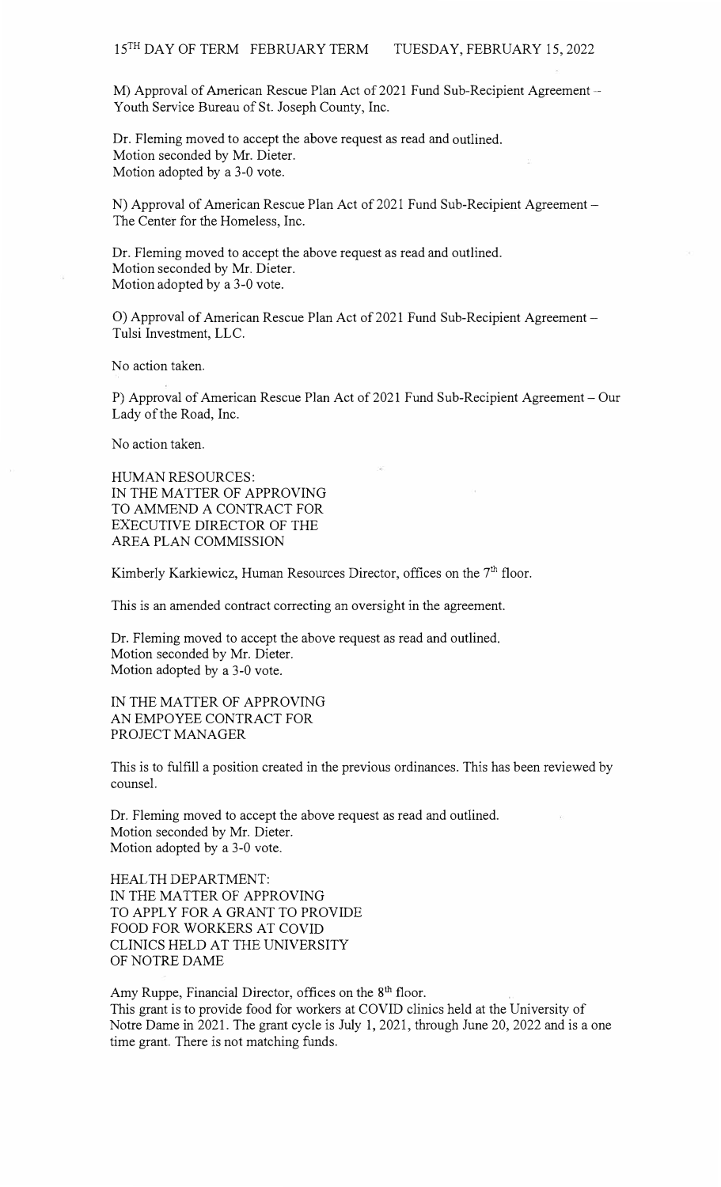M) Approval of American Rescue Plan Act of 2021 Fund Sub-Recipient Agreement  $-$ Youth Service Bureau of St. Joseph County, Inc.

Dr. Fleming moved to accept the above request as read and outlined. Motion seconded by Mr. Dieter. Motion adopted by a 3-0 vote.

N) Approval of American Rescue Plan Act of 2021 Fund Sub-Recipient Agreement -The Center for the Homeless, Inc.

Dr. Fleming moved to accept the above request as read and outlined. Motion seconded by Mr. Dieter. Motion adopted by a 3-0 vote.

O) Approval of American Rescue Plan Act of 2021 Fund Sub-Recipient Agreement -Tulsi Investment, LLC.

No action taken.

P) Approval of American Rescue Plan Act of 2021 Fund Sub-Recipient Agreement - Our Lady of the Road, Inc.

No action taken.

HUMAN RESOURCES: IN THE MATTER OF APPROVING TO AMMEND A CONTRACT FOR EXECUTIVE DIRECTOR OF THE AREA PLAN COMMISSION

Kimberly Karkiewicz, Human Resources Director, offices on the 7<sup>th</sup> floor.

This is an amended contract correcting an oversight in the agreement.

Dr. Fleming moved to accept the above request as read and outlined. Motion seconded by Mr. Dieter. Motion adopted by a 3-0 vote.

IN THE MATTER OF APPROVING AN EMPOYEE CONTRACT FOR PROJECT MANAGER

This is to fulfill a position created in the previous ordinances. This has been reviewed by counsel.

Dr. Fleming moved to accept the above request as read and outlined. Motion seconded by Mr. Dieter. Motion adopted by a 3-0 vote.

HEAL TH DEPARTMENT: IN THE MATTER OF APPROVING TO APPLY FOR A GRANT TO PROVIDE FOOD FOR WORKERS AT COVID CLINICS HELD AT THE UNIVERSITY OF NOTRE DAME

Amy Ruppe, Financial Director, offices on the 8<sup>th</sup> floor. This grant is to provide food for workers at COVID clinics held at the University of Notre Dame in 2021. The grant cycle is July 1, 2021, through June 20, 2022 and is a one time grant. There is not matching funds.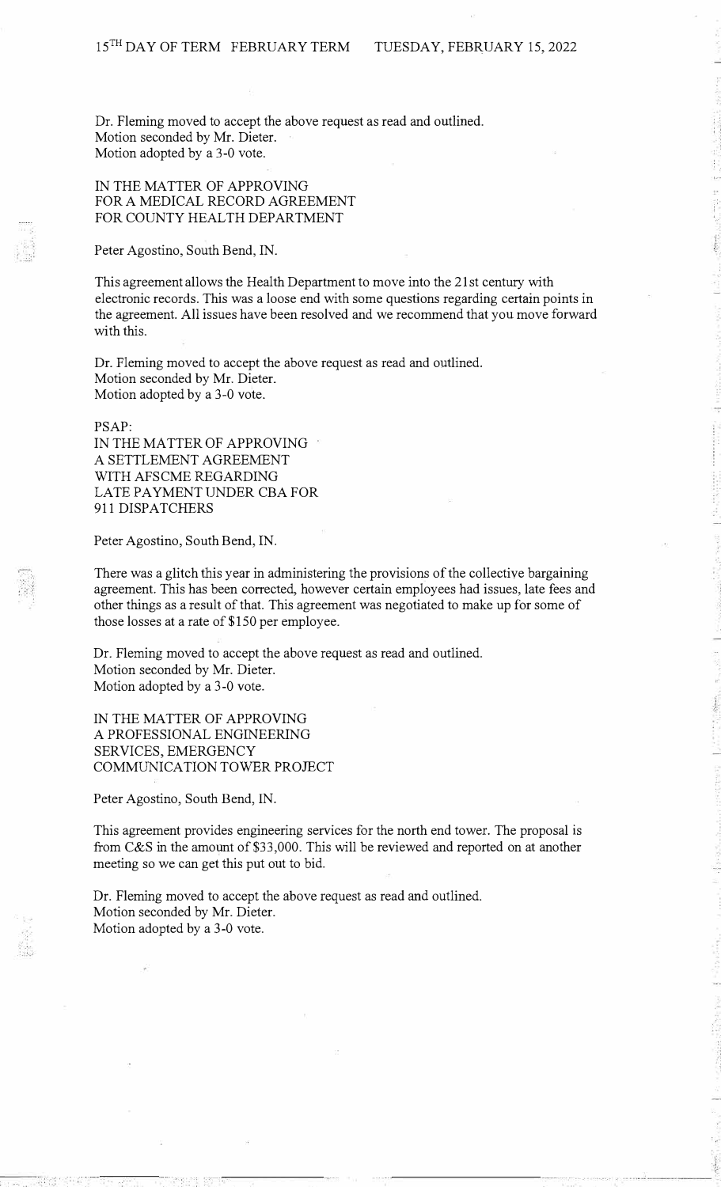Dr. Fleming moved to accept the above request as read and outlined. Motion seconded by Mr. Dieter. Motion adopted by a 3-0 vote.

## IN THE MATTER OF APPROVING FOR A MEDICAL RECORD AGREEMENT FOR COUNTY HEALTH DEPARTMENT

Peter Agostino, South Bend, IN.

This agreement allows the Health Department to move into the 21st century with electronic records. This was a loose end with some questions regarding certain points in the agreement. All issues have been resolved and we recommend that you move forward with this.

Dr. Fleming moved to accept the above request as read and outlined. Motion seconded by Mr. Dieter. Motion adopted by a 3-0 vote.

PSAP:

IN THE MATTER OF APPROVING A SETTLEMENT AGREEMENT WITH AFSCME REGARDING LATE PAYMENT UNDER CBA FOR 911 DISPATCHERS

Peter Agostino, South Bend, IN.

There was a glitch this year in administering the provisions of the collective bargaining agreement. This has been corrected, however certain employees had issues, late fees and other things as a result of that. This agreement was negotiated to make up for some of those losses at a rate of \$150 per employee.

Dr. Fleming moved to accept the above request as read and outlined. Motion seconded by Mr. Dieter. Motion adopted by a 3-0 vote.

IN THE MATTER OF APPROVING A PROFESSIONAL ENGINEERING SERVICES, EMERGENCY COMMUNICATION TOWER PROJECT

Peter Agostino, South Bend, IN.

This agreement provides engineering services for the north end tower. The proposal is from C&S in the amount of \$33,000. This will be reviewed and reported on at another meeting so we can get this put out to bid.

Dr. Fleming moved to accept the above request as read and outlined. Motion seconded by Mr. Dieter. Motion adopted by a 3-0 vote.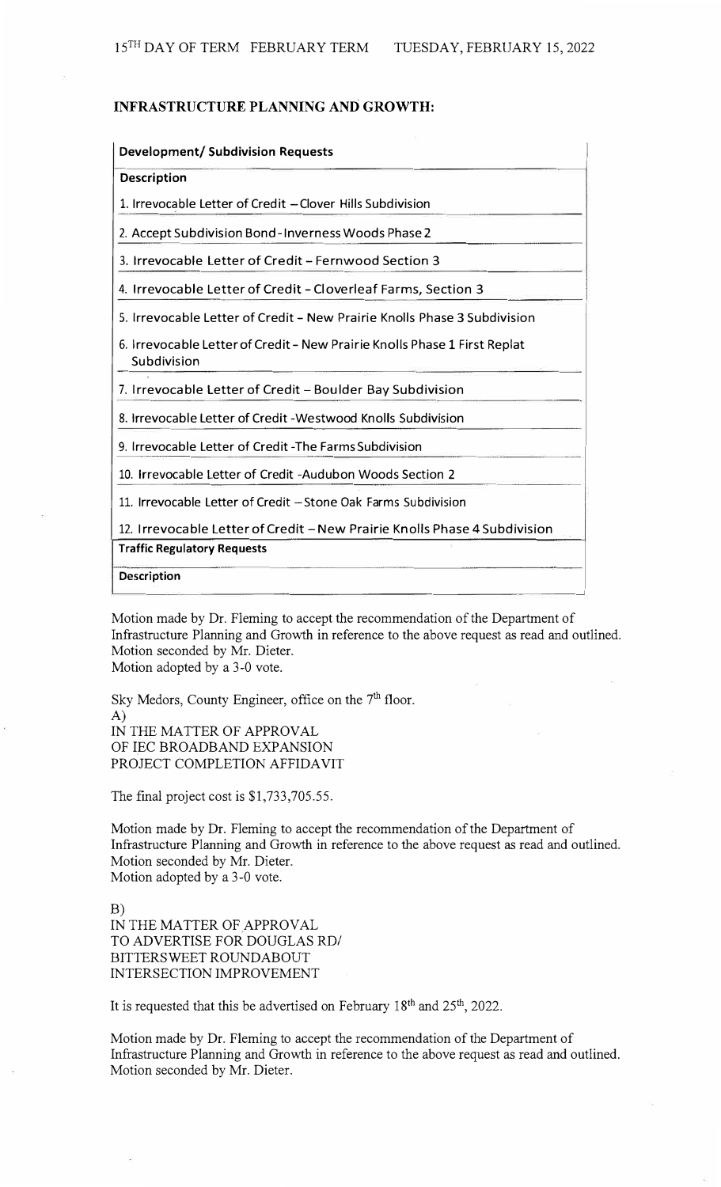### **INFRASTRUCTURE PLANNING AND GROWTH:**

| <b>Development/ Subdivision Requests</b>                                                 |
|------------------------------------------------------------------------------------------|
| <b>Description</b>                                                                       |
| 1. Irrevocable Letter of Credit - Clover Hills Subdivision                               |
| 2. Accept Subdivision Bond-Inverness Woods Phase 2                                       |
| 3. Irrevocable Letter of Credit - Fernwood Section 3                                     |
| 4. Irrevocable Letter of Credit - Cloverleaf Farms, Section 3                            |
| 5. Irrevocable Letter of Credit - New Prairie Knolls Phase 3 Subdivision                 |
| 6. Irrevocable Letter of Credit - New Prairie Knolls Phase 1 First Replat<br>Subdivision |
| 7. Irrevocable Letter of Credit - Boulder Bay Subdivision                                |
| 8. Irrevocable Letter of Credit - Westwood Knolls Subdivision                            |
| 9. Irrevocable Letter of Credit - The Farms Subdivision                                  |
| 10. Irrevocable Letter of Credit -Audubon Woods Section 2                                |
| 11. Irrevocable Letter of Credit - Stone Oak Farms Subdivision                           |
| 12. Irrevocable Letter of Credit - New Prairie Knolls Phase 4 Subdivision                |
| <b>Traffic Regulatory Requests</b>                                                       |
| Description                                                                              |

Motion made by Dr. Fleming to accept the recommendation of the Department of Infrastructure Planning and Growth in reference to the above request as read and outlined. Motion seconded by Mr. Dieter. Motion adopted by a 3-0 vote.

Sky Medors, County Engineer, office on the 7<sup>th</sup> floor. A) IN THE MATTER OF APPROVAL OF IEC BROADBAND EXPANSION PROJECT COMPLETION AFFIDAVIT

The final project cost is \$1,733,705.55.

Motion made by Dr. Fleming to accept the recommendation of the Department of Infrastructure Planning and Growth in reference to the above request as read and outlined. Motion seconded by Mr. Dieter. Motion adopted by a 3-0 vote.

B) IN THE MATTER OF APPROVAL TO ADVERTISE FOR DOUGLAS RD/ BITTERSWEET ROUNDABOUT INTERSECTION IMPROVEMENT

It is requested that this be advertised on February  $18<sup>th</sup>$  and  $25<sup>th</sup>$ , 2022.

Motion made by Dr. Fleming to accept the recommendation of the Department of Infrastructure Planning and Growth in reference to the above request as read and outlined. Motion seconded by Mr. Dieter.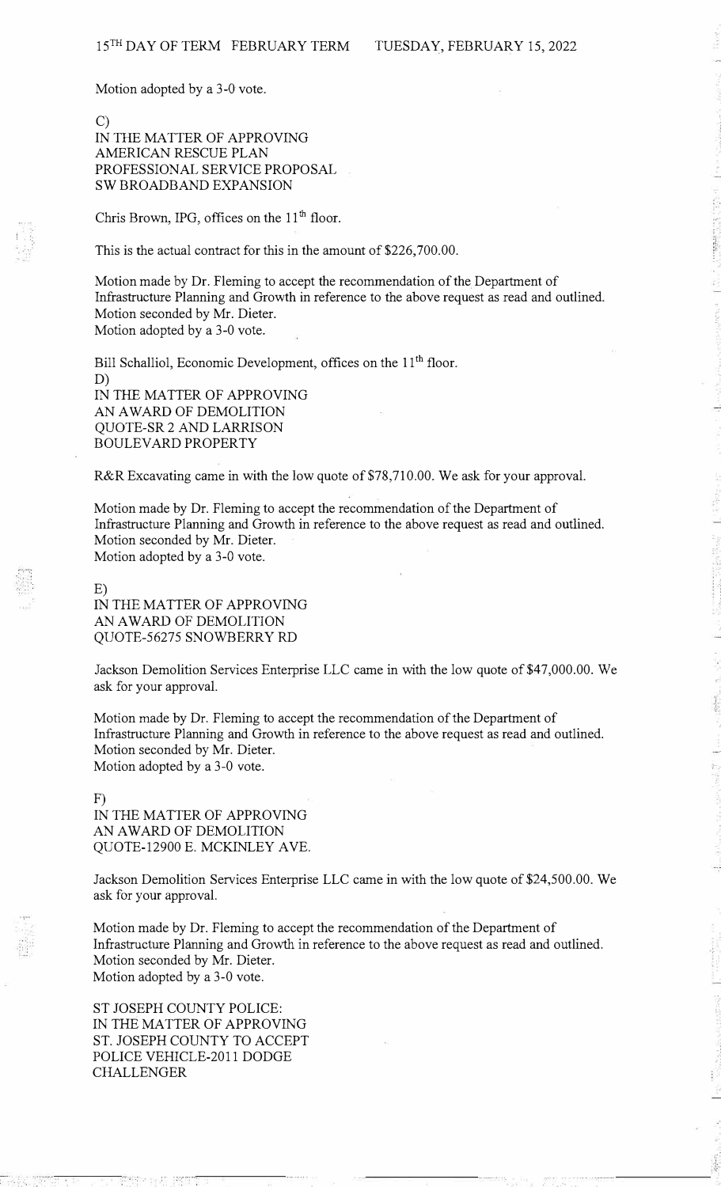Motion adopted by a 3-0 vote.

# C) IN THE MATTER OF APPROVING AMERICAN RESCUE PLAN PROFESSIONAL SERVICE PROPOSAL SW BROADBAND EXPANSION

Chris Brown, IPG, offices on the 11<sup>th</sup> floor.

This is the actual contract for this in the amount of \$226,700.00.

Motion made by Dr. Fleming to accept the recommendation of the Department of Infrastructure Planning and Growth in reference to the above request as read and outlined. Motion seconded by Mr. Dieter. Motion adopted by a 3-0 vote.

Bill Schalliol, Economic Development, offices on the 11<sup>th</sup> floor. D) IN THE MATTER OF APPROVING AN AWARD OF DEMOLITION QUOTE-SR 2 AND LARRISON BOULEY ARD PROPERTY

R&R Excavating came in with the low quote of \$78,710.00. We ask for your approval.

Motion made by Dr. Fleming to accept the recommendation of the Department of Infrastructure Planning and Growth in reference to the above request as read and outlined. Motion seconded by Mr. Dieter. Motion adopted by a 3-0 vote.

E)

IN THE MATTER OF APPROVING AN AWARD OF DEMOLITION QUOTE-56275 SNOWBERRY RD

Jackson Demolition Services Enterprise LLC came in with the low quote of \$47,000.00. We ask for your approval.

Motion made by Dr. Fleming to accept the recommendation of the Department of Infrastructure Planning and Growth in reference to the above request as read and outlined. Motion seconded by Mr. Dieter. Motion adopted by a 3-0 vote.

F) IN THE MATTER OF APPROVING AN AWARD OF DEMOLITION QUOTE-12900 E. MCKINLEY A VE.

Jackson Demolition Services Enterprise LLC came in with the low quote of \$24,500.00. We ask for your approval.

Motion made by Dr. Fleming to accept the recommendation of the Department of Infrastructure Planning and Growth in reference to the above request as read and outlined. Motion seconded by Mr. Dieter. Motion adopted by a 3-0 vote.

ST JOSEPH COUNTY POLICE: IN THE MATTER OF APPROVING ST. JOSEPH COUNTY TO ACCEPT POLICE VEHICLE-2011 DODGE CHALLENGER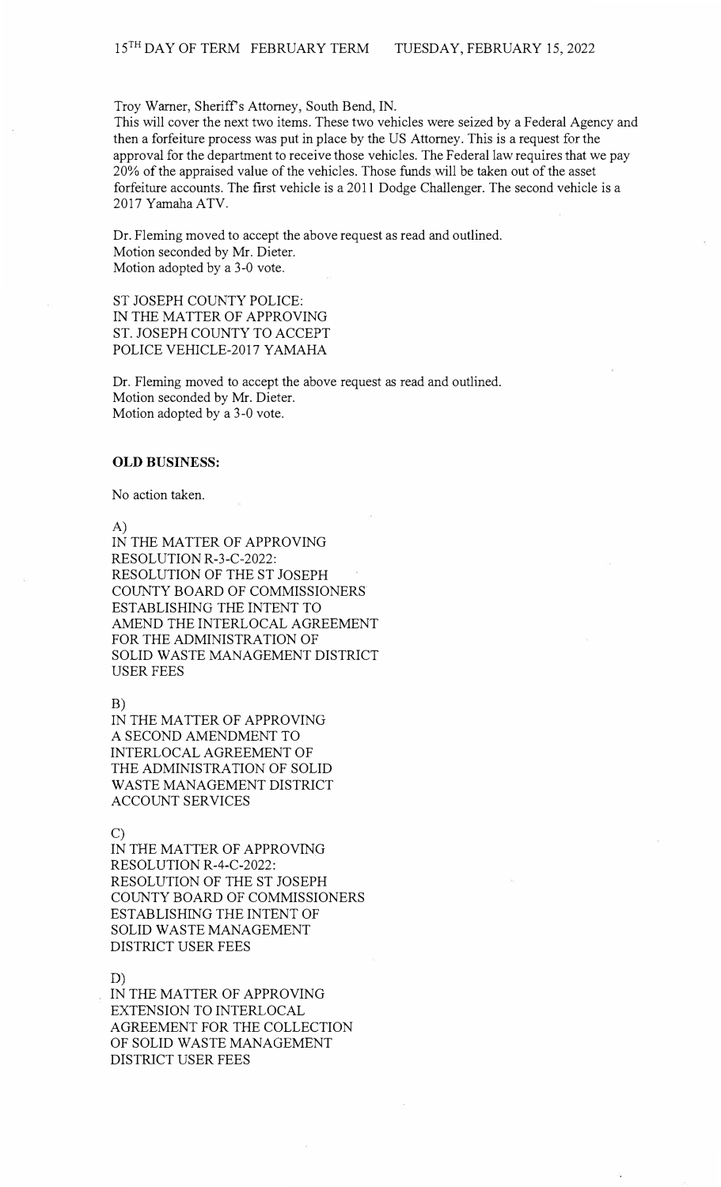Troy Warner, Sheriff's Attorney, South Bend, IN.

This will cover the next two items. These two vehicles were seized by a Federal Agency and then a forfeiture process was put in place by the US Attorney. This is a request for the approval for the department to receive those vehicles. The Federal law requires that we pay 20% of the appraised value of the vehicles. Those funds will be taken out of the asset forfeiture accounts. The first vehicle is a 2011 Dodge Challenger. The second vehicle is a 2017 Yamaha ATV.

Dr. Fleming moved to accept the above request as read and outlined. Motion seconded by Mr. Dieter. Motion adopted by a 3-0 vote.

ST JOSEPH COUNTY POLICE: IN THE MATTER OF APPROVING ST. JOSEPH COUNTY TO ACCEPT POLICE VEHICLE-2017 YAMAHA

Dr. Fleming moved to accept the above request as read and outlined. Motion seconded by Mr. Dieter. Motion adopted by a 3-0 vote.

### **OLD BUSINESS:**

No action taken.

A)

IN THE MATTER OF APPROVING RESOLUTION R-3-C-2022: RESOLUTION OF THE ST JOSEPH COUNTY BOARD OF COMMISSIONERS ESTABLISHING THE INTENT TO AMEND THE INTERLOCAL AGREEMENT FOR THE ADMINISTRATION OF SOLID WASTE MANAGEMENT DISTRICT USER FEES

B)

IN THE MATTER OF APPROVING A SECOND AMENDMENT TO INTERLOCAL AGREEMENT OF THE ADMINISTRATION OF SOLID WASTE MANAGEMENT DISTRICT ACCOUNT SERVICES

C)

IN THE MATTER OF APPROVING RESOLUTION R-4-C-2022: RESOLUTION OF THE ST JOSEPH COUNTY BOARD OF COMMISSIONERS ESTABLISHING THE INTENT OF SOLID WASTE MANAGEMENT DISTRICT USER FEES

D)

IN THE MATTER OF APPROVING EXTENSION TO INTERLOCAL AGREEMENT FOR THE COLLECTION OF SOLID WASTE MANAGEMENT DISTRICT USER FEES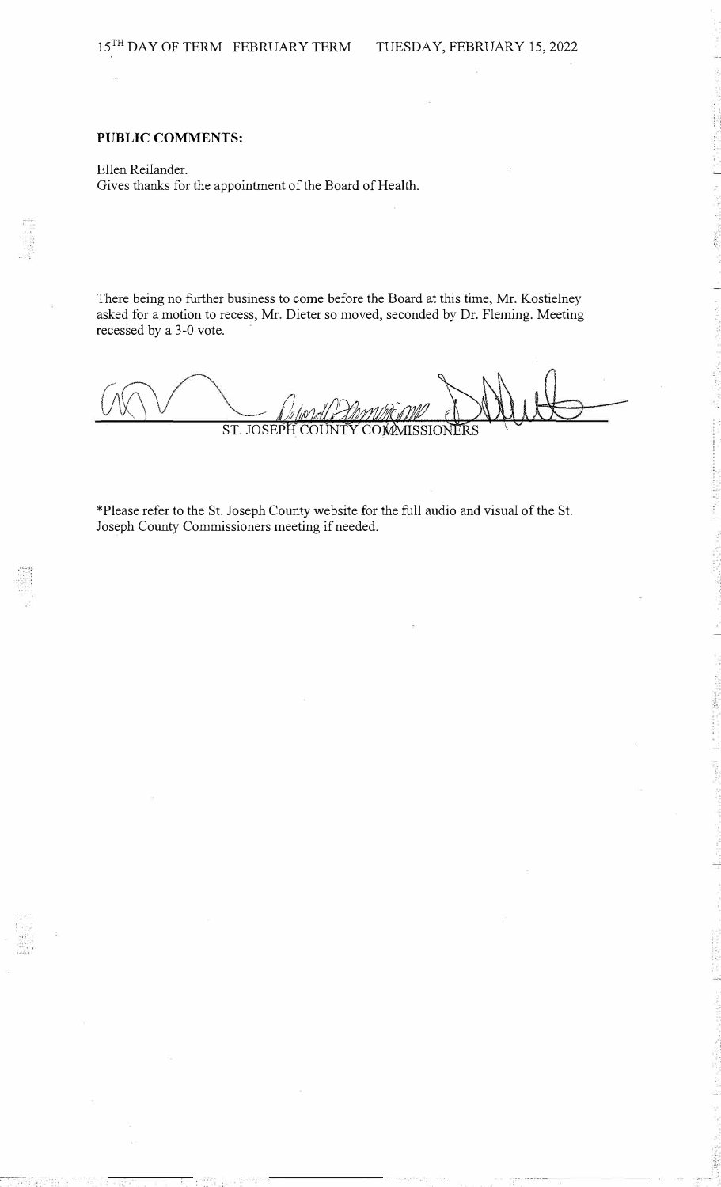## **PUBLIC COMMENTS:**

Ellen Reilander. Gives thanks for the appointment of the Board of Health.

There being no further business to come before the Board at this time, Mr. Kostielney asked for a motion to recess, Mr. Dieter so moved, seconded by Dr. Fleming. Meeting recessed by a 3-0 vote.

/ *I}*  ST. JOSEPH

\*Please refer to the St. Joseph County website for the full audio and visual of the St. Joseph County Commissioners meeting if needed.